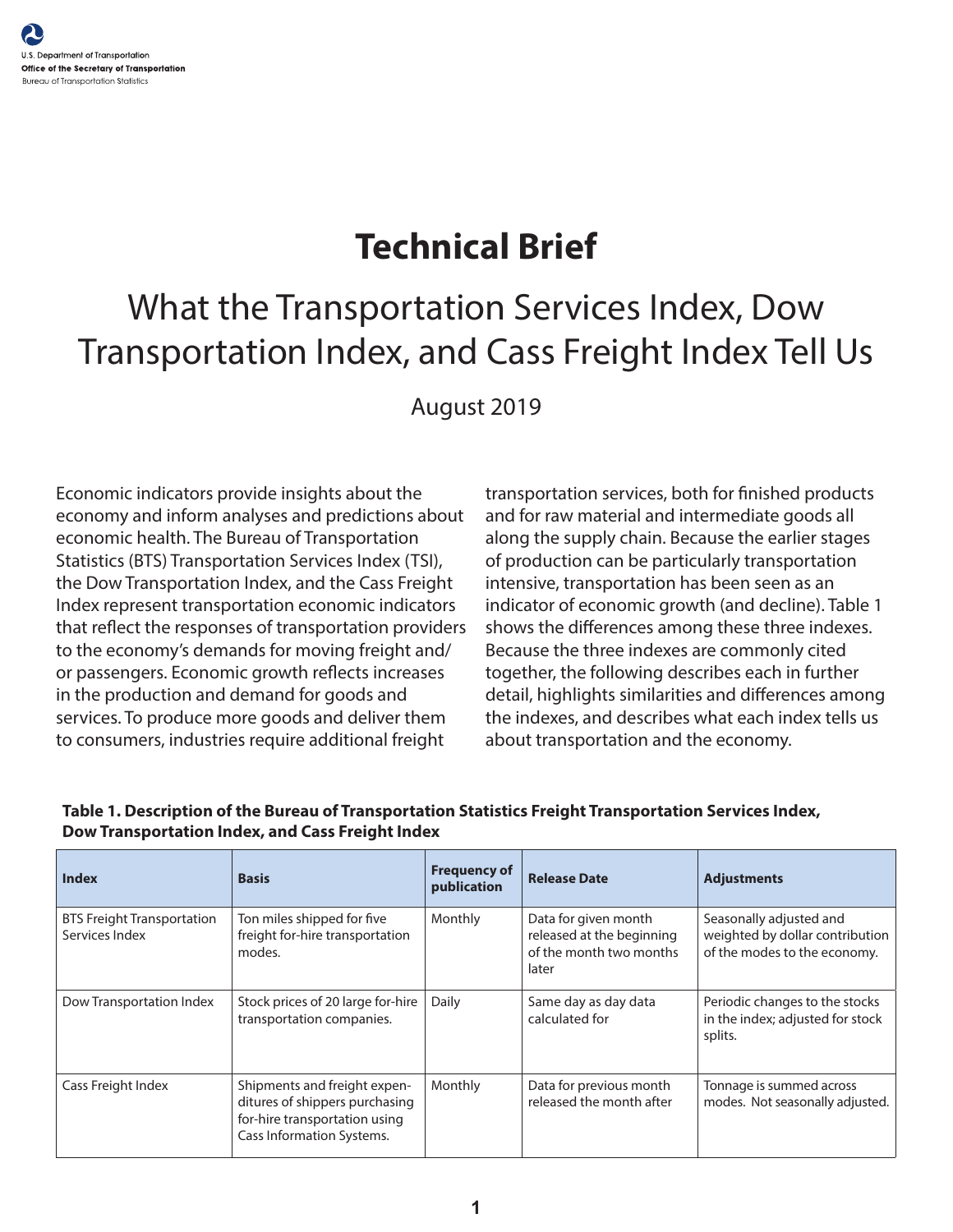# **Technical Brief**

# What the Transportation Services Index, Dow Transportation Index, and Cass Freight Index Tell Us

August 2019

Economic indicators provide insights about the economy and inform analyses and predictions about economic health. The Bureau of Transportation Statistics (BTS) Transportation Services Index (TSI), the Dow Transportation Index, and the Cass Freight Index represent transportation economic indicators that reflect the responses of transportation providers to the economy's demands for moving freight and/ or passengers. Economic growth reflects increases in the production and demand for goods and services. To produce more goods and deliver them to consumers, industries require additional freight

transportation services, both for finished products and for raw material and intermediate goods all along the supply chain. Because the earlier stages of production can be particularly transportation intensive, transportation has been seen as an indicator of economic growth (and decline). Table 1 shows the differences among these three indexes. Because the three indexes are commonly cited together, the following describes each in further detail, highlights similarities and differences among the indexes, and describes what each index tells us about transportation and the economy.

| <b>Index</b>                                        | <b>Basis</b>                                                                                                                 | <b>Frequency of</b><br>publication | <b>Release Date</b>                                                                   | <b>Adjustments</b>                                                                         |
|-----------------------------------------------------|------------------------------------------------------------------------------------------------------------------------------|------------------------------------|---------------------------------------------------------------------------------------|--------------------------------------------------------------------------------------------|
| <b>BTS Freight Transportation</b><br>Services Index | Ton miles shipped for five<br>freight for-hire transportation<br>modes.                                                      | Monthly                            | Data for given month<br>released at the beginning<br>of the month two months<br>later | Seasonally adjusted and<br>weighted by dollar contribution<br>of the modes to the economy. |
| Dow Transportation Index                            | Stock prices of 20 large for-hire<br>transportation companies.                                                               | Daily                              | Same day as day data<br>calculated for                                                | Periodic changes to the stocks<br>in the index; adjusted for stock<br>splits.              |
| Cass Freight Index                                  | Shipments and freight expen-<br>ditures of shippers purchasing<br>for-hire transportation using<br>Cass Information Systems. | Monthly                            | Data for previous month<br>released the month after                                   | Tonnage is summed across<br>modes. Not seasonally adjusted.                                |

#### **Table 1. Description of the Bureau of Transportation Statistics Freight Transportation Services Index, Dow Transportation Index, and Cass Freight Index**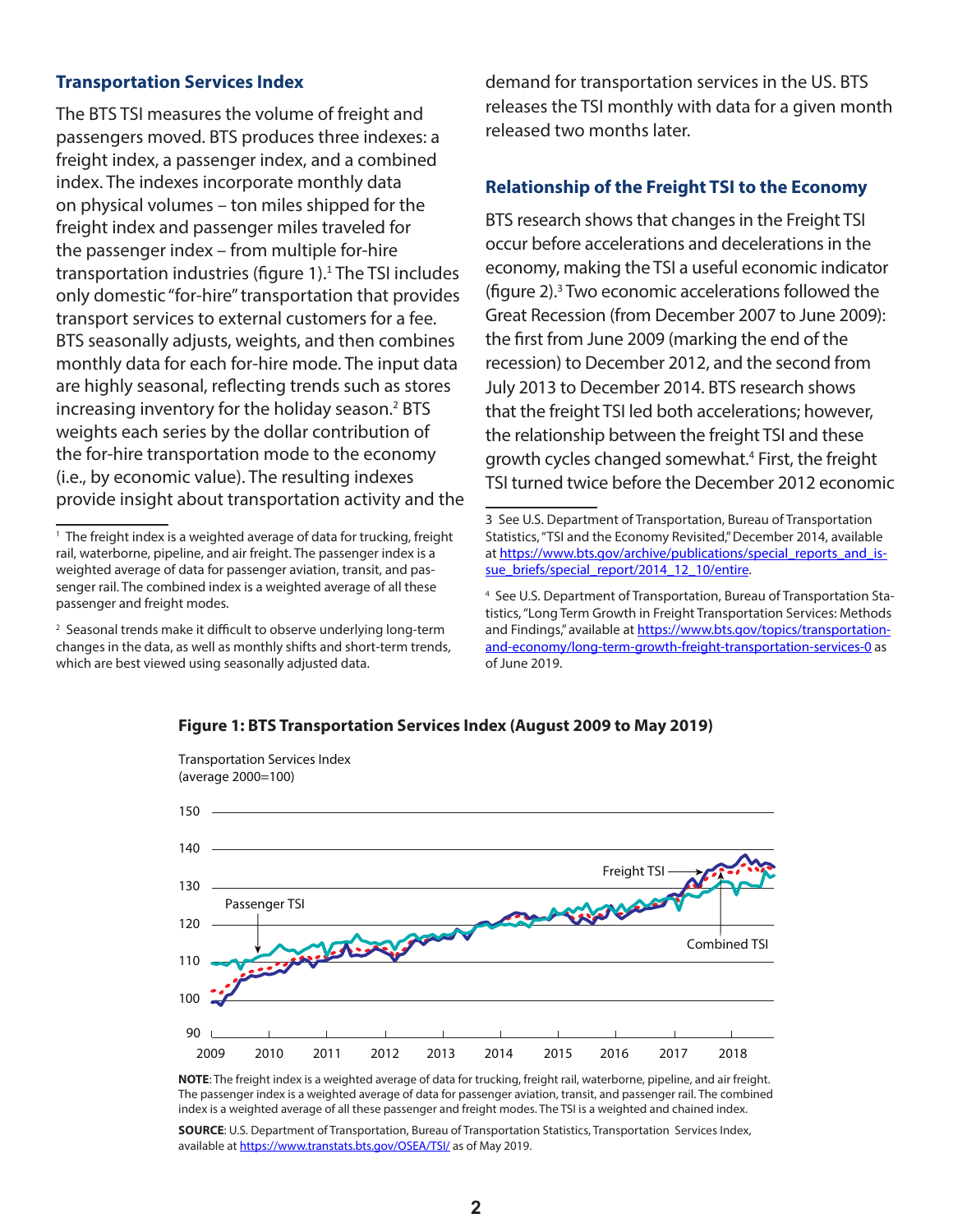#### **Transportation Services Index**

The BTS TSI measures the volume of freight and passengers moved. BTS produces three indexes: a freight index, a passenger index, and a combined index. The indexes incorporate monthly data on physical volumes – ton miles shipped for the freight index and passenger miles traveled for the passenger index – from multiple for-hire transportation industries (figure 1).<sup>1</sup> The TSI includes only domestic "for-hire" transportation that provides transport services to external customers for a fee. BTS seasonally adjusts, weights, and then combines monthly data for each for-hire mode. The input data are highly seasonal, reflecting trends such as stores increasing inventory for the holiday season.<sup>2</sup> BTS weights each series by the dollar contribution of the for-hire transportation mode to the economy (i.e., by economic value). The resulting indexes provide insight about transportation activity and the

Transportation Services Index

demand for transportation services in the US. BTS releases the TSI monthly with data for a given month released two months later.

### **Relationship of the Freight TSI to the Economy**

BTS research shows that changes in the Freight TSI occur before accelerations and decelerations in the economy, making the TSI a useful economic indicator (figure 2).<sup>3</sup> Two economic accelerations followed the Great Recession (from December 2007 to June 2009): the first from June 2009 (marking the end of the recession) to December 2012, and the second from July 2013 to December 2014. BTS research shows that the freight TSI led both accelerations; however, the relationship between the freight TSI and these growth cycles changed somewhat.<sup>4</sup> First, the freight TSI turned twice before the December 2012 economic



#### **Figure 1: BTS Transportation Services Index (August 2009 to May 2019)**

**NOTE**: The freight index is a weighted average of data for trucking, freight rail, waterborne, pipeline, and air freight. The passenger index is a weighted average of data for passenger aviation, transit, and passenger rail. The combined index is a weighted average of all these passenger and freight modes. The TSI is a weighted and chained index.

**SOURCE**: U.S. Department of Transportation, Bureau of Transportation Statistics, Transportation Services Index, available at<https://www.transtats.bts.gov/OSEA/TSI/> as of May 2019.

<sup>&</sup>lt;sup>1</sup> The freight index is a weighted average of data for trucking, freight rail, waterborne, pipeline, and air freight. The passenger index is a weighted average of data for passenger aviation, transit, and passenger rail. The combined index is a weighted average of all these passenger and freight modes.

<sup>&</sup>lt;sup>2</sup> Seasonal trends make it difficult to observe underlying long-term changes in the data, as well as monthly shifts and short-term trends, which are best viewed using seasonally adjusted data.

<sup>3</sup> See U.S. Department of Transportation, Bureau of Transportation Statistics, "TSI and the Economy Revisited," December 2014, available at [https://www.bts.gov/archive/publications/special\\_reports\\_and\\_is](https://www.bts.gov/archive/publications/special_reports_and_issue_briefs/special_report/2014_12_10/entire)sue briefs/special report/2014 12 10/entire.

<sup>4</sup> See U.S. Department of Transportation, Bureau of Transportation Statistics, "Long Term Growth in Freight Transportation Services: Methods and Findings," available at [https://www.bts.gov/topics/transportation](https://www.bts.gov/topics/transportation-and-economy/long-term-growth-freight-transportation-services-0)[and-economy/long-term-growth-freight-transportation-services-0](https://www.bts.gov/topics/transportation-and-economy/long-term-growth-freight-transportation-services-0) as of June 2019.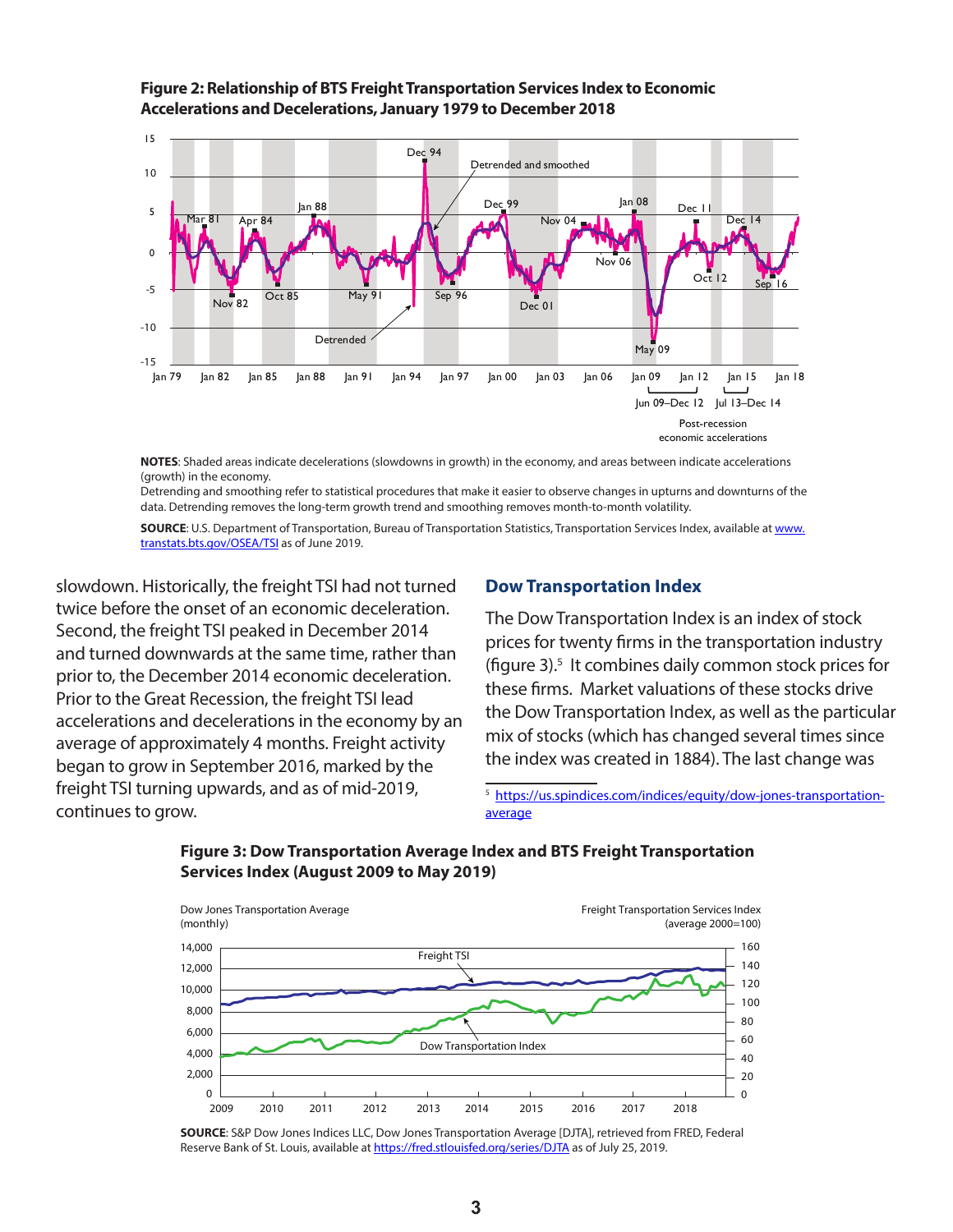

**Figure 2: Relationship of BTS Freight Transportation Services Index to Economic Accelerations and Decelerations, January 1979 to December 2018**

**NOTES**: Shaded areas indicate decelerations (slowdowns in growth) in the economy, and areas between indicate accelerations (growth) in the economy.

Detrending and smoothing refer to statistical procedures that make it easier to observe changes in upturns and downturns of the data. Detrending removes the long-term growth trend and smoothing removes month-to-month volatility.

**SOURCE**: U.S. Department of Transportation, Bureau of Transportation Statistics, Transportation Services Index, available at [www.](http://www.transtats.bts.gov/OSEA/TSI) [transtats.bts.gov/OSEA/TSI](http://www.transtats.bts.gov/OSEA/TSI) as of June 2019.

slowdown. Historically, the freight TSI had not turned twice before the onset of an economic deceleration. Second, the freight TSI peaked in December 2014 and turned downwards at the same time, rather than prior to, the December 2014 economic deceleration. Prior to the Great Recession, the freight TSI lead accelerations and decelerations in the economy by an average of approximately 4 months. Freight activity began to grow in September 2016, marked by the freight TSI turning upwards, and as of mid-2019, continues to grow.

### **Dow Transportation Index**

The Dow Transportation Index is an index of stock prices for twenty firms in the transportation industry (figure 3).<sup>5</sup> It combines daily common stock prices for these firms. Market valuations of these stocks drive the Dow Transportation Index, as well as the particular mix of stocks (which has changed several times since the index was created in 1884). The last change was

<sup>5</sup> [https://us.spindices.com/indices/equity/dow-jones-transportation](https://us.spindices.com/indices/equity/dow-jones-transportation-average)[average](https://us.spindices.com/indices/equity/dow-jones-transportation-average)



# **Figure 3: Dow Transportation Average Index and BTS Freight Transportation Services Index (August 2009 to May 2019)**

**SOURCE**: S&P Dow Jones Indices LLC, Dow Jones Transportation Average [DJTA], retrieved from FRED, Federal Reserve Bank of St. Louis, available at<https://fred.stlouisfed.org/series/DJTA> as of July 25, 2019.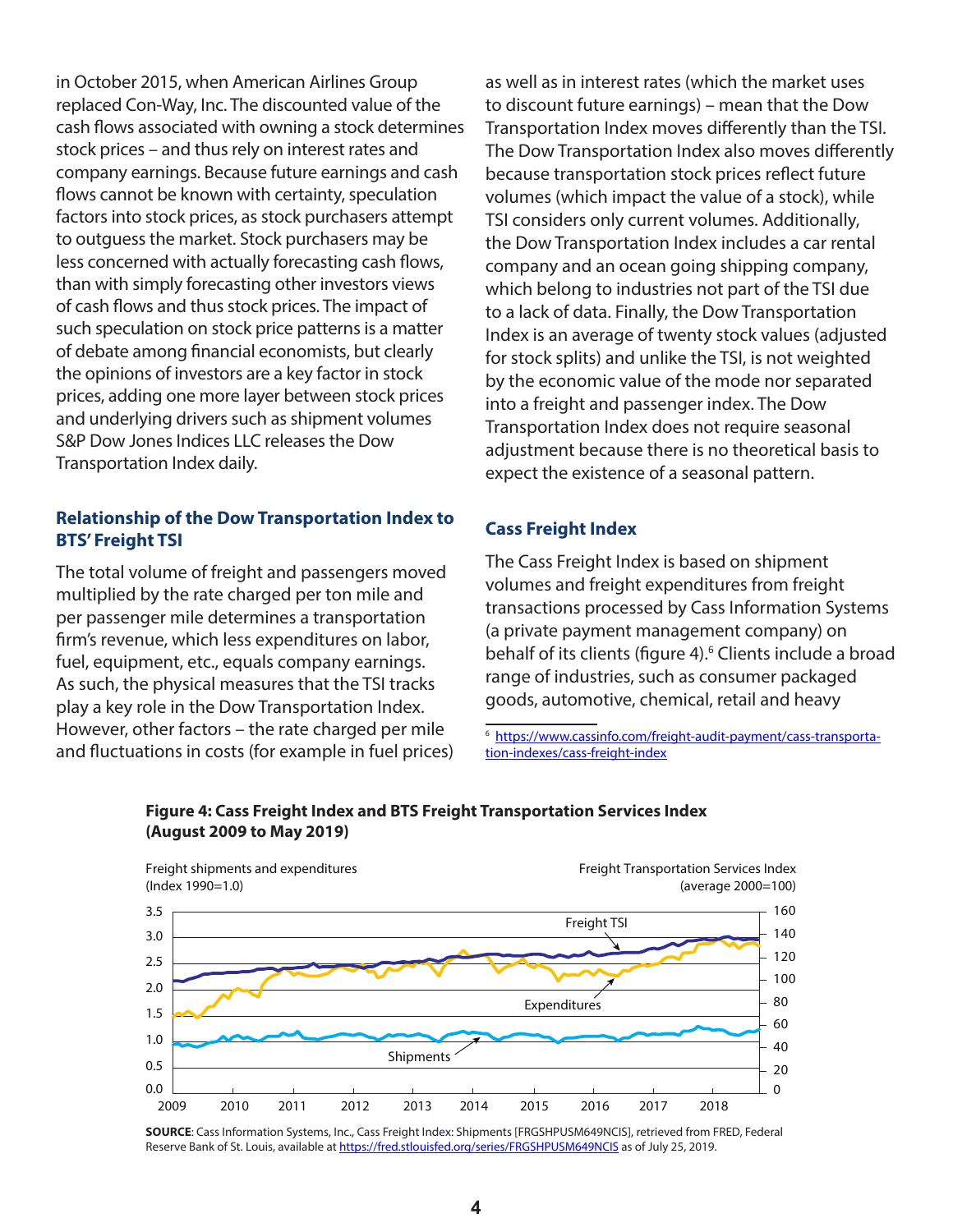in October 2015, when American Airlines Group replaced Con-Way, Inc. The discounted value of the cash flows associated with owning a stock determines stock prices – and thus rely on interest rates and company earnings. Because future earnings and cash flows cannot be known with certainty, speculation factors into stock prices, as stock purchasers attempt to outguess the market. Stock purchasers may be less concerned with actually forecasting cash flows, than with simply forecasting other investors views of cash flows and thus stock prices. The impact of such speculation on stock price patterns is a matter of debate among financial economists, but clearly the opinions of investors are a key factor in stock prices, adding one more layer between stock prices and underlying drivers such as shipment volumes S&P Dow Jones Indices LLC releases the Dow Transportation Index daily.

# **Relationship of the Dow Transportation Index to BTS' Freight TSI**

The total volume of freight and passengers moved multiplied by the rate charged per ton mile and per passenger mile determines a transportation firm's revenue, which less expenditures on labor, fuel, equipment, etc., equals company earnings. As such, the physical measures that the TSI tracks play a key role in the Dow Transportation Index. However, other factors – the rate charged per mile and fluctuations in costs (for example in fuel prices) as well as in interest rates (which the market uses to discount future earnings) – mean that the Dow Transportation Index moves differently than the TSI. The Dow Transportation Index also moves differently because transportation stock prices reflect future volumes (which impact the value of a stock), while TSI considers only current volumes. Additionally, the Dow Transportation Index includes a car rental company and an ocean going shipping company, which belong to industries not part of the TSI due to a lack of data. Finally, the Dow Transportation Index is an average of twenty stock values (adjusted for stock splits) and unlike the TSI, is not weighted by the economic value of the mode nor separated into a freight and passenger index. The Dow Transportation Index does not require seasonal adjustment because there is no theoretical basis to expect the existence of a seasonal pattern.

# **Cass Freight Index**

The Cass Freight Index is based on shipment volumes and freight expenditures from freight transactions processed by Cass Information Systems (a private payment management company) on behalf of its clients (figure 4).<sup>6</sup> Clients include a broad range of industries, such as consumer packaged goods, automotive, chemical, retail and heavy

6 [https://www.cassinfo.com/freight-audit-payment/cass-transporta](https://www.cassinfo.com/freight-audit-payment/cass-transportation-indexes/cass-freight-index)[tion-indexes/cass-freight-index](https://www.cassinfo.com/freight-audit-payment/cass-transportation-indexes/cass-freight-index)



#### **Figure 4: Cass Freight Index and BTS Freight Transportation Services Index (August 2009 to May 2019)**

**SOURCE**: Cass Information Systems, Inc., Cass Freight Index: Shipments [FRGSHPUSM649NCIS], retrieved from FRED, Federal Reserve Bank of St. Louis, available at<https://fred.stlouisfed.org/series/FRGSHPUSM649NCIS>as of July 25, 2019.